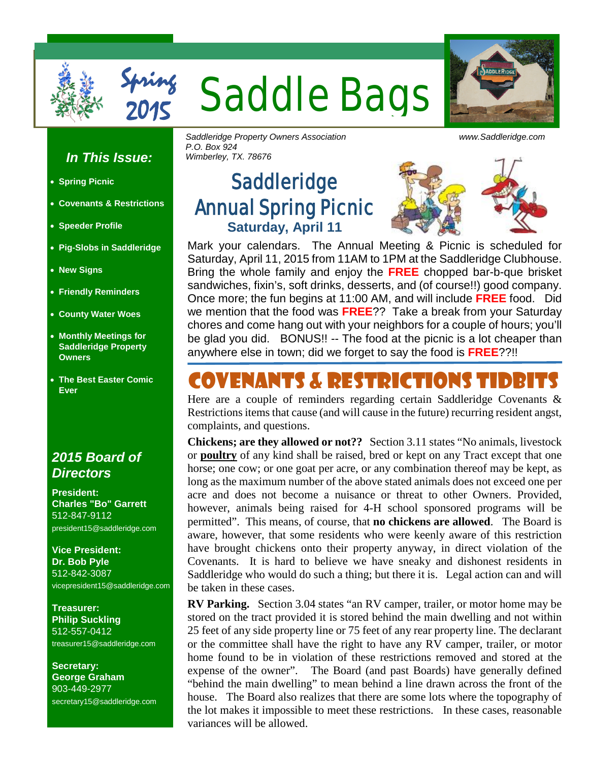

**Aning Saddle Bags** 

# ADDLERID

#### *In This Issue:*

Spring

- **Spring Picnic**
- **Covenants & Restrictions**
- **Speeder Profile**
- **Pig-Slobs in Saddleridge**
- **New Signs**
- **Friendly Reminders**
- **County Water Woes**
- **Monthly Meetings for Saddleridge Property Owners**
- **The Best Easter Comic Ever**

### *2015 Board of Directors*

**President: Charles "Bo" Garrett** 512-847-9112 president15@saddleridge.com

**Vice President: Dr. Bob Pyle** 512-842-3087 vicepresident15@saddleridge.com

**Treasurer: Philip Suckling** 512-557-0412 treasurer15@saddleridge.com

**Secretary: George Graham** 903-449-2977 secretary15@saddleridge.com *Saddleridge Property Owners Association www.Saddleridge.com P.O. Box 924 Wimberley, TX. 78676*

## **Saddleridge** Annual Spring Picnic **Saturday, April 11**



Mark your calendars. The Annual Meeting & Picnic is scheduled for Saturday, April 11, 2015 from 11AM to 1PM at the Saddleridge Clubhouse. Bring the whole family and enjoy the **FREE** chopped bar-b-que brisket sandwiches, fixin's, soft drinks, desserts, and (of course!!) good company. Once more; the fun begins at 11:00 AM, and will include **FREE** food. Did we mention that the food was **FREE**?? Take a break from your Saturday chores and come hang out with your neighbors for a couple of hours; you'll be glad you did. BONUS!! -- The food at the picnic is a lot cheaper than anywhere else in town; did we forget to say the food is **FREE**??!!

## Covenants & Restrictions Tidbits

Here are a couple of reminders regarding certain Saddleridge Covenants & Restrictions items that cause (and will cause in the future) recurring resident angst, complaints, and questions.

**Chickens; are they allowed or not??** Section 3.11 states "No animals, livestock or **poultry** of any kind shall be raised, bred or kept on any Tract except that one horse; one cow; or one goat per acre, or any combination thereof may be kept, as long as the maximum number of the above stated animals does not exceed one per acre and does not become a nuisance or threat to other Owners. Provided, however, animals being raised for 4-H school sponsored programs will be permitted". This means, of course, that **no chickens are allowed**. The Board is aware, however, that some residents who were keenly aware of this restriction have brought chickens onto their property anyway, in direct violation of the Covenants. It is hard to believe we have sneaky and dishonest residents in Saddleridge who would do such a thing; but there it is. Legal action can and will be taken in these cases.

**RV Parking.** Section 3.04 states "an RV camper, trailer, or motor home may be stored on the tract provided it is stored behind the main dwelling and not within 25 feet of any side property line or 75 feet of any rear property line. The declarant or the committee shall have the right to have any RV camper, trailer, or motor home found to be in violation of these restrictions removed and stored at the expense of the owner". The Board (and past Boards) have generally defined "behind the main dwelling" to mean behind a line drawn across the front of the house. The Board also realizes that there are some lots where the topography of the lot makes it impossible to meet these restrictions. In these cases, reasonable variances will be allowed.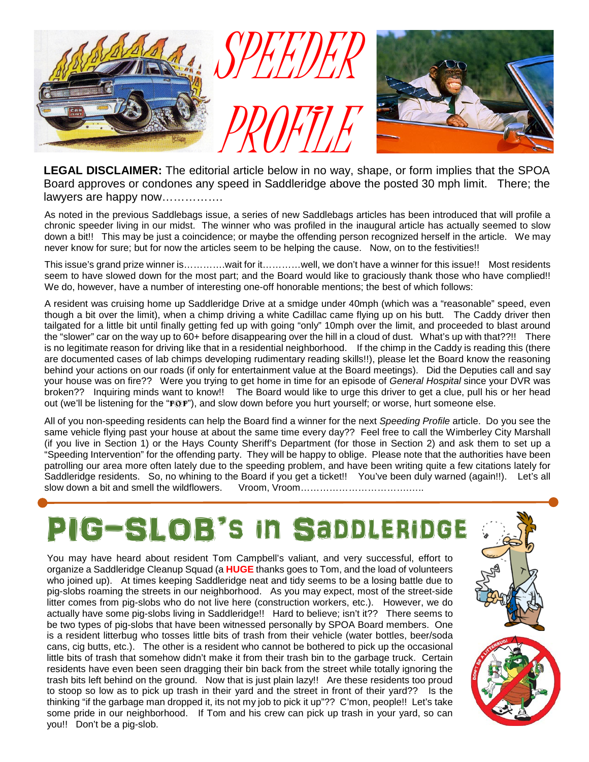

**LEGAL DISCLAIMER:** The editorial article below in no way, shape, or form implies that the SPOA Board approves or condones any speed in Saddleridge above the posted 30 mph limit. There; the lawyers are happy now…………….

As noted in the previous Saddlebags issue, a series of new Saddlebags articles has been introduced that will profile a chronic speeder living in our midst. The winner who was profiled in the inaugural article has actually seemed to slow down a bit!! This may be just a coincidence; or maybe the offending person recognized herself in the article. We may never know for sure; but for now the articles seem to be helping the cause. Now, on to the festivities!!

This issue's grand prize winner is………….wait for it…………well, we don't have a winner for this issue!! Most residents seem to have slowed down for the most part; and the Board would like to graciously thank those who have complied!! We do, however, have a number of interesting one-off honorable mentions; the best of which follows:

A resident was cruising home up Saddleridge Drive at a smidge under 40mph (which was a "reasonable" speed, even though a bit over the limit), when a chimp driving a white Cadillac came flying up on his butt. The Caddy driver then tailgated for a little bit until finally getting fed up with going "only" 10mph over the limit, and proceeded to blast around the "slower" car on the way up to 60+ before disappearing over the hill in a cloud of dust. What's up with that??!! There is no legitimate reason for driving like that in a residential neighborhood. If the chimp in the Caddy is reading this (there are documented cases of lab chimps developing rudimentary reading skills!!), please let the Board know the reasoning behind your actions on our roads (if only for entertainment value at the Board meetings). Did the Deputies call and say your house was on fire?? Were you trying to get home in time for an episode of *General Hospital* since your DVR was broken?? Inquiring minds want to know!! The Board would like to urge this driver to get a clue, pull his or her head out (we'll be listening for the "POP"), and slow down before you hurt yourself; or worse, hurt someone else.

All of you non-speeding residents can help the Board find a winner for the next *Speeding Profile* article. Do you see the same vehicle flying past your house at about the same time every day?? Feel free to call the Wimberley City Marshall (if you live in Section 1) or the Hays County Sheriff's Department (for those in Section 2) and ask them to set up a "Speeding Intervention" for the offending party. They will be happy to oblige. Please note that the authorities have been patrolling our area more often lately due to the speeding problem, and have been writing quite a few citations lately for Saddleridge residents. So, no whining to the Board if you get a ticket!! You've been duly warned (again!!). Let's all slow down a bit and smell the wildflowers. Vroom, Vroom…………………………….…..

# PIG-SLOB's in Saddleridge

You may have heard about resident Tom Campbell's valiant, and very successful, effort to organize a Saddleridge Cleanup Squad (a **HUGE** thanks goes to Tom, and the load of volunteers who joined up). At times keeping Saddleridge neat and tidy seems to be a losing battle due to pig-slobs roaming the streets in our neighborhood. As you may expect, most of the street-side litter comes from pig-slobs who do not live here (construction workers, etc.). However, we do actually have some pig-slobs living in Saddleridge!! Hard to believe; isn't it?? There seems to be two types of pig-slobs that have been witnessed personally by SPOA Board members. One is a resident litterbug who tosses little bits of trash from their vehicle (water bottles, beer/soda cans, cig butts, etc.). The other is a resident who cannot be bothered to pick up the occasional little bits of trash that somehow didn't make it from their trash bin to the garbage truck. Certain residents have even been seen dragging their bin back from the street while totally ignoring the trash bits left behind on the ground. Now that is just plain lazy!! Are these residents too proud to stoop so low as to pick up trash in their yard and the street in front of their yard?? Is the thinking "if the garbage man dropped it, its not my job to pick it up"?? C'mon, people!! Let's take some pride in our neighborhood. If Tom and his crew can pick up trash in your yard, so can you!! Don't be a pig-slob.

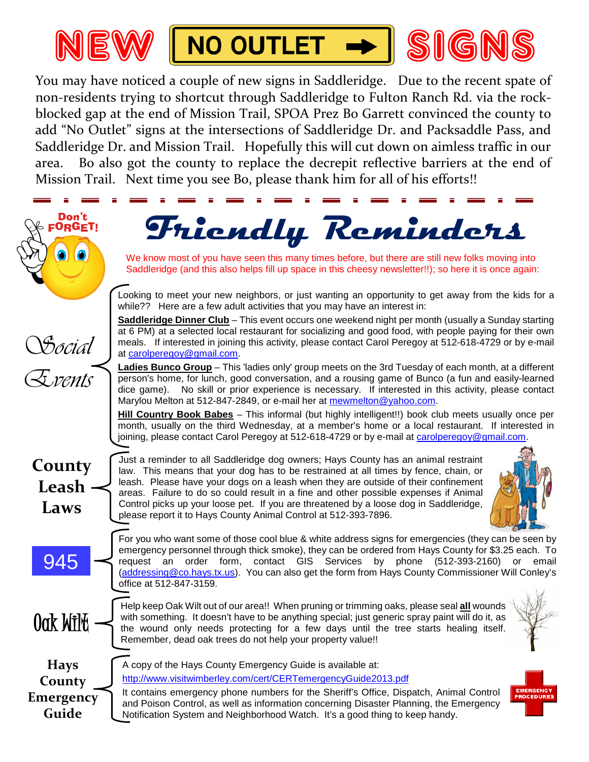





You may have noticed a couple of new signs in Saddleridge. Due to the recent spate of non-residents trying to shortcut through Saddleridge to Fulton Ranch Rd. via the rockblocked gap at the end of Mission Trail, SPOA Prez Bo Garrett convinced the county to add "No Outlet" signs at the intersections of Saddleridge Dr. and Packsaddle Pass, and Saddleridge Dr. and Mission Trail. Hopefully this will cut down on aimless traffic in our area. Bo also got the county to replace the decrepit reflective barriers at the end of Mission Trail. Next time you see Bo, please thank him for all of his efforts!!